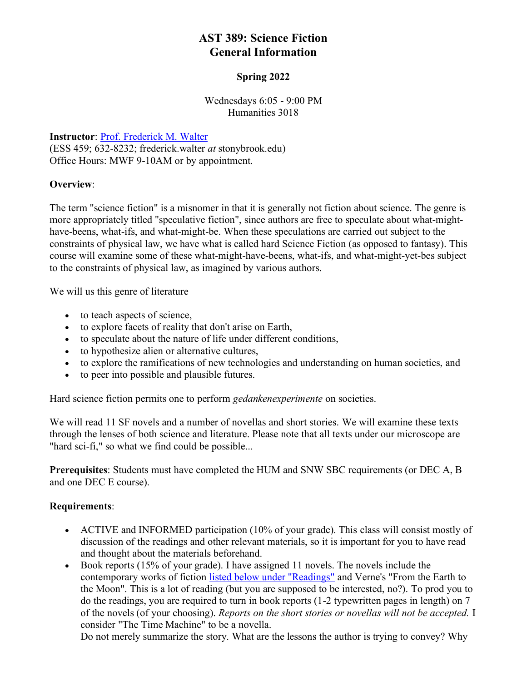# **AST 389: Science Fiction General Information**

#### **Spring 2022**

Wednesdays 6:05 - 9:00 PM Humanities 3018

**Instructor**: [Prof. Frederick M. Walter](http://www.astro.sunysb.edu/fwalter/)

(ESS 459; 632-8232; frederick.walter *at* stonybrook.edu) Office Hours: MWF 9-10AM or by appointment.

#### **Overview**:

The term "science fiction" is a misnomer in that it is generally not fiction about science. The genre is more appropriately titled "speculative fiction", since authors are free to speculate about what-mighthave-beens, what-ifs, and what-might-be. When these speculations are carried out subject to the constraints of physical law, we have what is called hard Science Fiction (as opposed to fantasy). This course will examine some of these what-might-have-beens, what-ifs, and what-might-yet-bes subject to the constraints of physical law, as imagined by various authors.

We will us this genre of literature

- to teach aspects of science,
- to explore facets of reality that don't arise on Earth,
- to speculate about the nature of life under different conditions,
- to hypothesize alien or alternative cultures,
- to explore the ramifications of new technologies and understanding on human societies, and
- to peer into possible and plausible futures.

Hard science fiction permits one to perform *gedankenexperimente* on societies.

We will read 11 SF novels and a number of novellas and short stories. We will examine these texts through the lenses of both science and literature. Please note that all texts under our microscope are "hard sci-fi," so what we find could be possible...

**Prerequisites**: Students must have completed the HUM and SNW SBC requirements (or DEC A, B and one DEC E course).

## **Requirements**:

- ACTIVE and INFORMED participation (10% of your grade). This class will consist mostly of discussion of the readings and other relevant materials, so it is important for you to have read and thought about the materials beforehand.
- Book reports (15% of your grade). I have assigned 11 novels. The novels include the contemporary works of fiction [listed below under "Readings"](http://www.astro.sunysb.edu/fwalter/AST389/general.html#readings) and Verne's "From the Earth to the Moon". This is a lot of reading (but you are supposed to be interested, no?). To prod you to do the readings, you are required to turn in book reports (1-2 typewritten pages in length) on 7 of the novels (of your choosing). *Reports on the short stories or novellas will not be accepted.* I consider "The Time Machine" to be a novella.

Do not merely summarize the story. What are the lessons the author is trying to convey? Why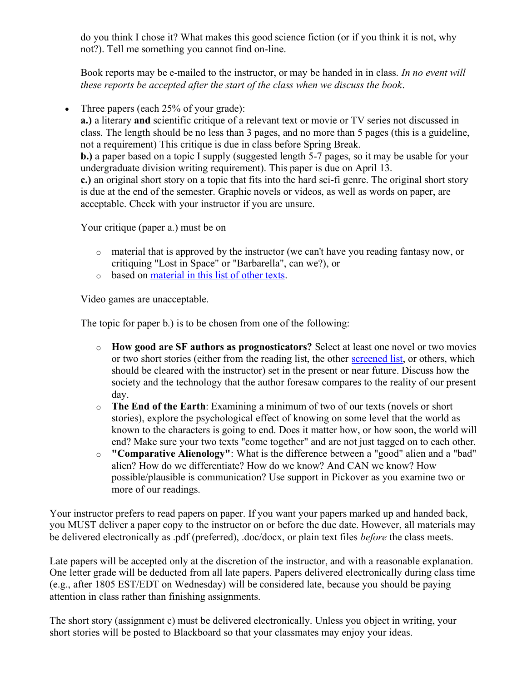do you think I chose it? What makes this good science fiction (or if you think it is not, why not?). Tell me something you cannot find on-line.

Book reports may be e-mailed to the instructor, or may be handed in in class. *In no event will these reports be accepted after the start of the class when we discuss the book*.

• Three papers (each 25% of your grade):

**a.)** a literary **and** scientific critique of a relevant text or movie or TV series not discussed in class. The length should be no less than 3 pages, and no more than 5 pages (this is a guideline, not a requirement) This critique is due in class before Spring Break.

**b.)** a paper based on a topic I supply (suggested length 5-7 pages, so it may be usable for your undergraduate division writing requirement). This paper is due on April 13.

**c.)** an original short story on a topic that fits into the hard sci-fi genre. The original short story is due at the end of the semester. Graphic novels or videos, as well as words on paper, are acceptable. Check with your instructor if you are unsure.

Your critique (paper a.) must be on

- o material that is approved by the instructor (we can't have you reading fantasy now, or critiquing "Lost in Space" or "Barbarella", can we?), or
- o based on [material in this list of other texts.](http://www.astro.sunysb.edu/fwalter/AST389/othertexts.html)

Video games are unacceptable.

The topic for paper b.) is to be chosen from one of the following:

- o **How good are SF authors as prognosticators?** Select at least one novel or two movies or two short stories (either from the reading list, the other [screened list,](http://www.astro.sunysb.edu/fwalter/AST389/othertexts.html) or others, which should be cleared with the instructor) set in the present or near future. Discuss how the society and the technology that the author foresaw compares to the reality of our present day.
- o **The End of the Earth**: Examining a minimum of two of our texts (novels or short stories), explore the psychological effect of knowing on some level that the world as known to the characters is going to end. Does it matter how, or how soon, the world will end? Make sure your two texts "come together" and are not just tagged on to each other.
- o **"Comparative Alienology"**: What is the difference between a "good" alien and a "bad" alien? How do we differentiate? How do we know? And CAN we know? How possible/plausible is communication? Use support in Pickover as you examine two or more of our readings.

Your instructor prefers to read papers on paper. If you want your papers marked up and handed back, you MUST deliver a paper copy to the instructor on or before the due date. However, all materials may be delivered electronically as .pdf (preferred), .doc/docx, or plain text files *before* the class meets.

Late papers will be accepted only at the discretion of the instructor, and with a reasonable explanation. One letter grade will be deducted from all late papers. Papers delivered electronically during class time (e.g., after 1805 EST/EDT on Wednesday) will be considered late, because you should be paying attention in class rather than finishing assignments.

The short story (assignment c) must be delivered electronically. Unless you object in writing, your short stories will be posted to Blackboard so that your classmates may enjoy your ideas.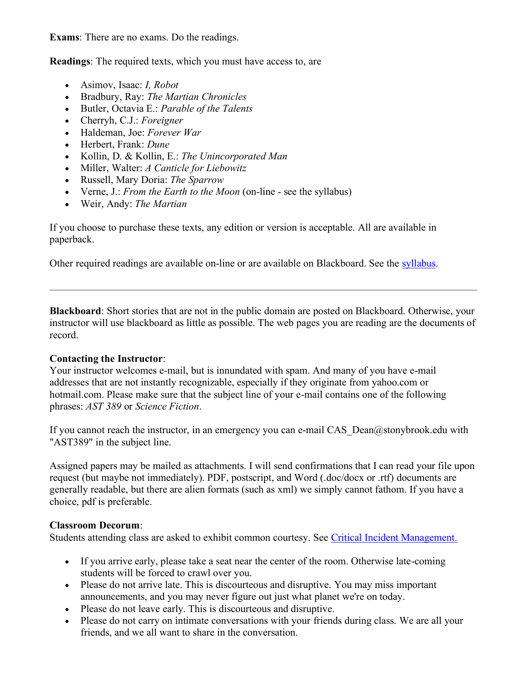**Exams**: There are no exams. Do the readings.

**Readings**: The required texts, which you must have access to, are

- Asimov, Isaac: *I, Robot*
- Bradbury, Ray: *The Martian Chronicles*
- Butler, Octavia E.: *Parable of the Talents*
- Cherryh, C.J.: *Foreigner*
- Haldeman, Joe: *Forever War*
- Herbert, Frank: *Dune*
- Kollin, D. & Kollin, E.: *The Unincorporated Man*
- Miller, Walter: *A Canticle for Liebowitz*
- Russell, Mary Doria: *The Sparrow*
- Verne, J.: *From the Earth to the Moon* (on-line see the syllabus)
- Weir, Andy: *The Martian*

If you choose to purchase these texts, any edition or version is acceptable. All are available in paperback.

Other required readings are available on-line or are available on Blackboard. See the [syllabus.](http://www.astro.sunysb.edu/fwalter/AST389/syllabus.html)

**Blackboard**: Short stories that are not in the public domain are posted on Blackboard. Otherwise, your instructor will use blackboard as little as possible. The web pages you are reading are the documents of record.

#### **Contacting the Instructor**:

Your instructor welcomes e-mail, but is innundated with spam. And many of you have e-mail addresses that are not instantly recognizable, especially if they originate from yahoo.com or hotmail.com. Please make sure that the subject line of your e-mail contains one of the following phrases: *AST 389* or *Science Fiction*.

If you cannot reach the instructor, in an emergency you can e-mail CAS Dean@stonybrook.edu with "AST389" in the subject line.

Assigned papers may be mailed as attachments. I will send confirmations that I can read your file upon request (but maybe not immediately). PDF, postscript, and Word (.doc/docx or .rtf) documents are generally readable, but there are alien formats (such as xml) we simply cannot fathom. If you have a choice, pdf is preferable.

#### **Classroom Decorum**:

Students attending class are asked to exhibit common courtesy. See [Critical Incident Management.](http://www.astro.sunysb.edu/fwalter/AST389/general.html#seccim)

- If you arrive early, please take a seat near the center of the room. Otherwise late-coming students will be forced to crawl over you.
- Please do not arrive late. This is discourteous and disruptive. You may miss important announcements, and you may never figure out just what planet we're on today.
- Please do not leave early. This is discourteous and disruptive.
- Please do not carry on intimate conversations with your friends during class. We are all your friends, and we all want to share in the conversation.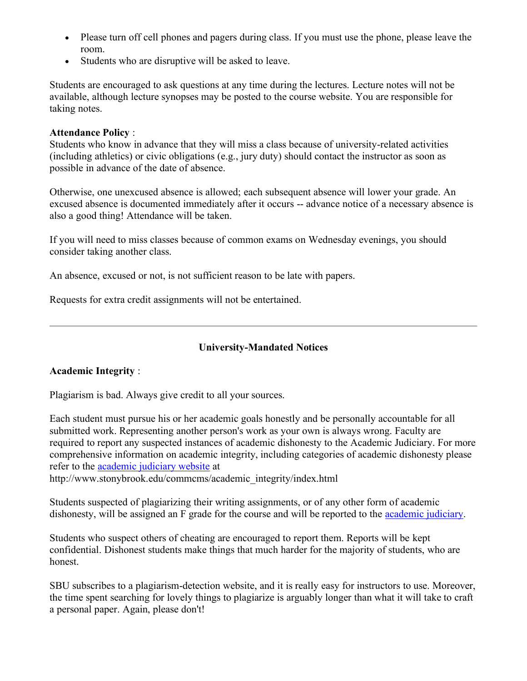- Please turn off cell phones and pagers during class. If you must use the phone, please leave the room.
- Students who are disruptive will be asked to leave.

Students are encouraged to ask questions at any time during the lectures. Lecture notes will not be available, although lecture synopses may be posted to the course website. You are responsible for taking notes.

#### **Attendance Policy** :

Students who know in advance that they will miss a class because of university-related activities (including athletics) or civic obligations (e.g., jury duty) should contact the instructor as soon as possible in advance of the date of absence.

Otherwise, one unexcused absence is allowed; each subsequent absence will lower your grade. An excused absence is documented immediately after it occurs -- advance notice of a necessary absence is also a good thing! Attendance will be taken.

If you will need to miss classes because of common exams on Wednesday evenings, you should consider taking another class.

An absence, excused or not, is not sufficient reason to be late with papers.

Requests for extra credit assignments will not be entertained.

#### **University-Mandated Notices**

#### **Academic Integrity** :

Plagiarism is bad. Always give credit to all your sources.

Each student must pursue his or her academic goals honestly and be personally accountable for all submitted work. Representing another person's work as your own is always wrong. Faculty are required to report any suspected instances of academic dishonesty to the Academic Judiciary. For more comprehensive information on academic integrity, including categories of academic dishonesty please refer to the [academic judiciary website](http://www.stonybrook.edu/commcms/academic_integrity/index.html) at

http://www.stonybrook.edu/commcms/academic\_integrity/index.html

Students suspected of plagiarizing their writing assignments, or of any other form of academic dishonesty, will be assigned an F grade for the course and will be reported to the [academic judiciary.](http://naples.cc.sunysb.edu/CAS/ajc.nsf)

Students who suspect others of cheating are encouraged to report them. Reports will be kept confidential. Dishonest students make things that much harder for the majority of students, who are honest.

SBU subscribes to a plagiarism-detection website, and it is really easy for instructors to use. Moreover, the time spent searching for lovely things to plagiarize is arguably longer than what it will take to craft a personal paper. Again, please don't!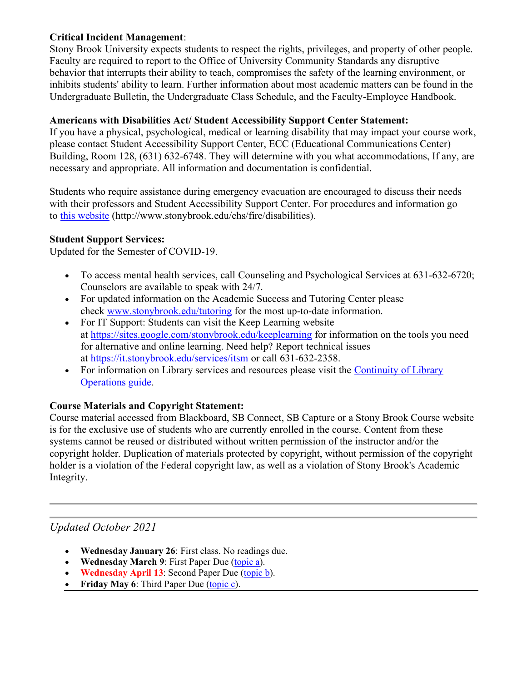#### **Critical Incident Management**:

Stony Brook University expects students to respect the rights, privileges, and property of other people. Faculty are required to report to the Office of University Community Standards any disruptive behavior that interrupts their ability to teach, compromises the safety of the learning environment, or inhibits students' ability to learn. Further information about most academic matters can be found in the Undergraduate Bulletin, the Undergraduate Class Schedule, and the Faculty-Employee Handbook.

#### **Americans with Disabilities Act/ Student Accessibility Support Center Statement:**

If you have a physical, psychological, medical or learning disability that may impact your course work, please contact Student Accessibility Support Center, ECC (Educational Communications Center) Building, Room 128, (631) 632-6748. They will determine with you what accommodations, If any, are necessary and appropriate. All information and documentation is confidential.

Students who require assistance during emergency evacuation are encouraged to discuss their needs with their professors and Student Accessibility Support Center. For procedures and information go to [this website](http://www.stonybrook.edu/ehs/fire/disabilities) (http://www.stonybrook.edu/ehs/fire/disabilities).

#### **Student Support Services:**

Updated for the Semester of COVID-19.

- To access mental health services, call Counseling and Psychological Services at 631-632-6720; Counselors are available to speak with 24/7.
- For updated information on the Academic Success and Tutoring Center please check [www.stonybrook.edu/tutoring](http://www.astro.sunysb.edu/fwalter/AST389/www.stonybrook.edu/tutoring) for the most up-to-date information.
- For IT Support: Students can visit the Keep Learning website at <https://sites.google.com/stonybrook.edu/keeplearning> for information on the tools you need for alternative and online learning. Need help? Report technical issues at <https://it.stonybrook.edu/services/itsm> or call 631-632-2358.
- For information on Library services and resources please visit the Continuity of Library [Operations guide.](https://guides.library.stonybrook.edu/continuity)

## **Course Materials and Copyright Statement:**

Course material accessed from Blackboard, SB Connect, SB Capture or a Stony Brook Course website is for the exclusive use of students who are currently enrolled in the course. Content from these systems cannot be reused or distributed without written permission of the instructor and/or the copyright holder. Duplication of materials protected by copyright, without permission of the copyright holder is a violation of the Federal copyright law, as well as a violation of Stony Brook's Academic Integrity.

## *Updated October 2021*

- **Wednesday January 26**: First class. No readings due.
- **Wednesday March 9**: First Paper Due [\(topic a\)](http://www.astro.sunysb.edu/fwalter/AST389/general.html#a).
- **Wednesday April 13**: Second Paper Due [\(topic b\)](http://www.astro.sunysb.edu/fwalter/AST389/general.html#b).
- **Friday May 6**: Third Paper Due [\(topic c\)](http://www.astro.sunysb.edu/fwalter/AST389/general.html#c).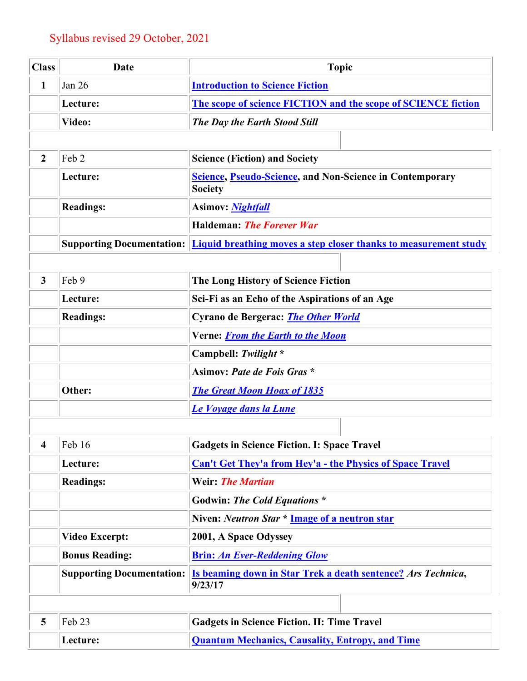| <b>Class</b>            | Date                             | <b>Topic</b>                                                                               |  |  |
|-------------------------|----------------------------------|--------------------------------------------------------------------------------------------|--|--|
| 1                       | Jan 26                           | <b>Introduction to Science Fiction</b>                                                     |  |  |
|                         | Lecture:                         | The scope of science FICTION and the scope of SCIENCE fiction                              |  |  |
|                         | Video:                           | The Day the Earth Stood Still                                                              |  |  |
|                         |                                  |                                                                                            |  |  |
| $\overline{2}$          | Feb 2                            | <b>Science (Fiction) and Society</b>                                                       |  |  |
|                         | Lecture:                         | <b>Science, Pseudo-Science, and Non-Science in Contemporary</b><br><b>Society</b>          |  |  |
|                         | <b>Readings:</b>                 | Asimov: <i>Nightfall</i>                                                                   |  |  |
|                         |                                  | <b>Haldeman: The Forever War</b>                                                           |  |  |
|                         |                                  | Supporting Documentation: Liquid breathing moves a step closer thanks to measurement study |  |  |
|                         |                                  |                                                                                            |  |  |
| $\overline{3}$          | Feb 9                            | <b>The Long History of Science Fiction</b>                                                 |  |  |
|                         | Lecture:                         | Sci-Fi as an Echo of the Aspirations of an Age                                             |  |  |
|                         | <b>Readings:</b>                 | <b>Cyrano de Bergerac: <i>The Other World</i></b>                                          |  |  |
|                         |                                  | <b>Verne: <u>From the Earth to the Moon</u></b>                                            |  |  |
|                         |                                  | Campbell: Twilight *                                                                       |  |  |
|                         |                                  | <b>Asimov: Pate de Fois Gras *</b>                                                         |  |  |
|                         | Other:                           | <b>The Great Moon Hoax of 1835</b>                                                         |  |  |
|                         |                                  | Le Voyage dans la Lune                                                                     |  |  |
|                         |                                  |                                                                                            |  |  |
| $\overline{\mathbf{4}}$ | $\vert$ Feb 16                   | <b>Gadgets in Science Fiction. I: Space Travel</b>                                         |  |  |
|                         | Lecture:                         | <b>Can't Get They'a from Hey'a - the Physics of Space Travel</b>                           |  |  |
|                         | <b>Readings:</b>                 | <b>Weir: The Martian</b>                                                                   |  |  |
|                         |                                  | <b>Godwin: The Cold Equations *</b>                                                        |  |  |
|                         |                                  | Niven: Neutron Star * Image of a neutron star                                              |  |  |
|                         | <b>Video Excerpt:</b>            | 2001, A Space Odyssey                                                                      |  |  |
|                         | <b>Bonus Reading:</b>            | <b>Brin: An Ever-Reddening Glow</b>                                                        |  |  |
|                         | <b>Supporting Documentation:</b> | <u>Is beaming down in Star Trek a death sentence?</u> Ars Technica,<br>9/23/17             |  |  |
|                         |                                  |                                                                                            |  |  |
| 5                       | Feb 23                           | <b>Gadgets in Science Fiction. II: Time Travel</b>                                         |  |  |
|                         | Lecture:                         | <b>Quantum Mechanics, Causality, Entropy, and Time</b>                                     |  |  |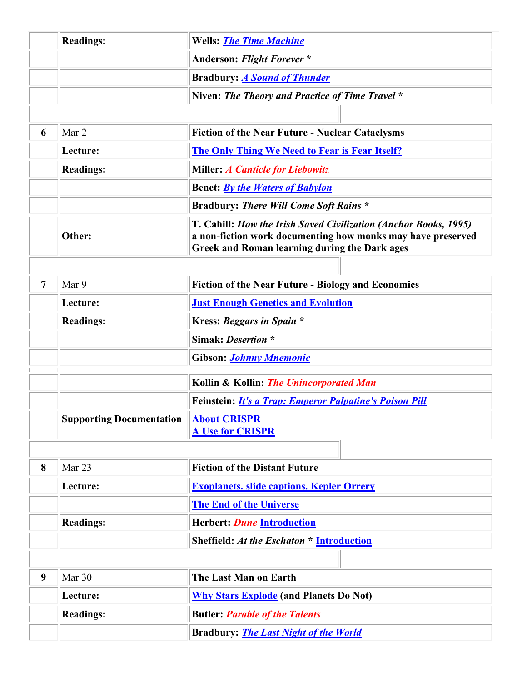|                  | <b>Readings:</b>                | <b>Wells: The Time Machine</b>                                                                                                                                                   |
|------------------|---------------------------------|----------------------------------------------------------------------------------------------------------------------------------------------------------------------------------|
|                  |                                 | <b>Anderson: Flight Forever *</b>                                                                                                                                                |
|                  |                                 | <b>Bradbury: A Sound of Thunder</b>                                                                                                                                              |
|                  |                                 | Niven: The Theory and Practice of Time Travel *                                                                                                                                  |
|                  |                                 |                                                                                                                                                                                  |
| 6                | Mar 2                           | <b>Fiction of the Near Future - Nuclear Cataclysms</b>                                                                                                                           |
|                  | Lecture:                        | <b>The Only Thing We Need to Fear is Fear Itself?</b>                                                                                                                            |
|                  | <b>Readings:</b>                | Miller: A Canticle for Liebowitz                                                                                                                                                 |
|                  |                                 | <b>Benet: By the Waters of Babylon</b>                                                                                                                                           |
|                  |                                 | Bradbury: There Will Come Soft Rains *                                                                                                                                           |
|                  | Other:                          | T. Cahill: How the Irish Saved Civilization (Anchor Books, 1995)<br>a non-fiction work documenting how monks may have preserved<br>Greek and Roman learning during the Dark ages |
|                  |                                 |                                                                                                                                                                                  |
| $\overline{7}$   | Mar 9                           | <b>Fiction of the Near Future - Biology and Economics</b>                                                                                                                        |
|                  | Lecture:                        | <b>Just Enough Genetics and Evolution</b>                                                                                                                                        |
|                  | <b>Readings:</b>                | <b>Kress: Beggars in Spain *</b>                                                                                                                                                 |
|                  |                                 | Simak: Desertion *                                                                                                                                                               |
|                  |                                 | Gibson: <i>Johnny Mnemonic</i>                                                                                                                                                   |
|                  |                                 | Kollin & Kollin: The Unincorporated Man                                                                                                                                          |
|                  |                                 | Feinstein: <i>It's a Trap: Emperor Palpatine's Poison Pill</i>                                                                                                                   |
|                  | <b>Supporting Documentation</b> | <b>About CRISPR</b><br><b>A Use for CRISPR</b>                                                                                                                                   |
|                  |                                 |                                                                                                                                                                                  |
| 8                | Mar 23                          | <b>Fiction of the Distant Future</b>                                                                                                                                             |
|                  | Lecture:                        | <b>Exoplanets. slide captions. Kepler Orrery</b>                                                                                                                                 |
|                  |                                 | <b>The End of the Universe</b>                                                                                                                                                   |
|                  | <b>Readings:</b>                | <b>Herbert: Dune Introduction</b>                                                                                                                                                |
|                  |                                 | <b>Sheffield: At the Eschaton * Introduction</b>                                                                                                                                 |
|                  |                                 |                                                                                                                                                                                  |
| $\boldsymbol{9}$ | Mar 30                          | <b>The Last Man on Earth</b>                                                                                                                                                     |
|                  | Lecture:                        | <b>Why Stars Explode</b> (and Planets Do Not)                                                                                                                                    |
|                  | <b>Readings:</b>                | <b>Butler: Parable of the Talents</b>                                                                                                                                            |
|                  |                                 | <b>Bradbury: The Last Night of the World</b>                                                                                                                                     |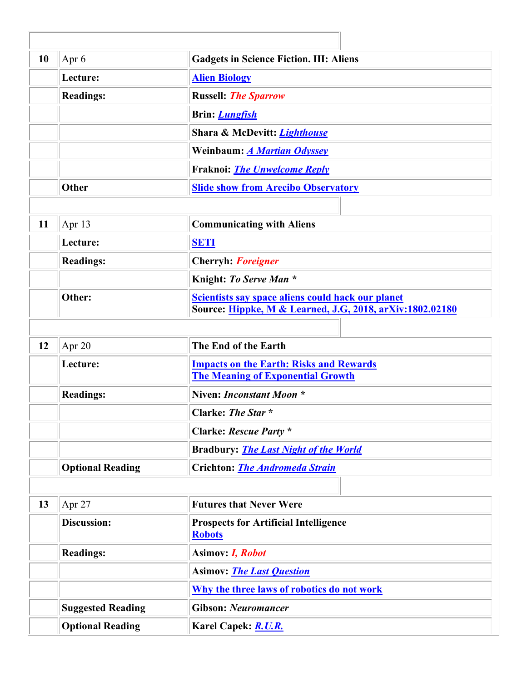| <b>Gadgets in Science Fiction. III: Aliens</b><br>10<br>Apr 6<br>Lecture:<br><b>Alien Biology</b><br><b>Readings:</b><br><b>Russell: The Sparrow</b><br>Brin: <i>Lungfish</i><br>Shara & McDevitt: <i>Lighthouse</i><br>Weinbaum: <b>A Martian Odyssey</b><br><b>Fraknoi: The Unwelcome Reply</b><br><b>Other</b><br><b>Slide show from Arecibo Observatory</b><br><b>Communicating with Aliens</b><br>11<br>Apr 13<br>Lecture:<br><b>SETI</b><br><b>Readings:</b><br><b>Cherryh: Foreigner</b><br>Knight: To Serve Man *<br>Other:<br>Scientists say space aliens could hack our planet<br>Source: Hippke, M & Learned, J.G, 2018, arXiv:1802.02180<br>The End of the Earth<br>Apr 20<br>12<br><b>Impacts on the Earth: Risks and Rewards</b><br>Lecture:<br><b>The Meaning of Exponential Growth</b><br>Niven: <i>Inconstant Moon</i> *<br><b>Readings:</b><br>Clarke: The Star *<br><b>Clarke: Rescue Party *</b><br><b>Bradbury: The Last Night of the World</b><br><b>Optional Reading</b><br><b>Crichton: The Andromeda Strain</b><br><b>Futures that Never Were</b><br>13<br>Apr 27<br><b>Discussion:</b><br><b>Prospects for Artificial Intelligence</b><br><b>Robots</b><br><b>Readings:</b><br>Asimov: <i>I, Robot</i><br><b>Asimov:</b> The Last Ouestion<br>Why the three laws of robotics do not work<br><b>Suggested Reading</b><br><b>Gibson: Neuromancer</b><br><b>Optional Reading</b><br>Karel Capek: R.U.R. |  |  |
|--------------------------------------------------------------------------------------------------------------------------------------------------------------------------------------------------------------------------------------------------------------------------------------------------------------------------------------------------------------------------------------------------------------------------------------------------------------------------------------------------------------------------------------------------------------------------------------------------------------------------------------------------------------------------------------------------------------------------------------------------------------------------------------------------------------------------------------------------------------------------------------------------------------------------------------------------------------------------------------------------------------------------------------------------------------------------------------------------------------------------------------------------------------------------------------------------------------------------------------------------------------------------------------------------------------------------------------------------------------------------------------------------------------------------------|--|--|
|                                                                                                                                                                                                                                                                                                                                                                                                                                                                                                                                                                                                                                                                                                                                                                                                                                                                                                                                                                                                                                                                                                                                                                                                                                                                                                                                                                                                                                |  |  |
|                                                                                                                                                                                                                                                                                                                                                                                                                                                                                                                                                                                                                                                                                                                                                                                                                                                                                                                                                                                                                                                                                                                                                                                                                                                                                                                                                                                                                                |  |  |
|                                                                                                                                                                                                                                                                                                                                                                                                                                                                                                                                                                                                                                                                                                                                                                                                                                                                                                                                                                                                                                                                                                                                                                                                                                                                                                                                                                                                                                |  |  |
|                                                                                                                                                                                                                                                                                                                                                                                                                                                                                                                                                                                                                                                                                                                                                                                                                                                                                                                                                                                                                                                                                                                                                                                                                                                                                                                                                                                                                                |  |  |
|                                                                                                                                                                                                                                                                                                                                                                                                                                                                                                                                                                                                                                                                                                                                                                                                                                                                                                                                                                                                                                                                                                                                                                                                                                                                                                                                                                                                                                |  |  |
|                                                                                                                                                                                                                                                                                                                                                                                                                                                                                                                                                                                                                                                                                                                                                                                                                                                                                                                                                                                                                                                                                                                                                                                                                                                                                                                                                                                                                                |  |  |
|                                                                                                                                                                                                                                                                                                                                                                                                                                                                                                                                                                                                                                                                                                                                                                                                                                                                                                                                                                                                                                                                                                                                                                                                                                                                                                                                                                                                                                |  |  |
|                                                                                                                                                                                                                                                                                                                                                                                                                                                                                                                                                                                                                                                                                                                                                                                                                                                                                                                                                                                                                                                                                                                                                                                                                                                                                                                                                                                                                                |  |  |
|                                                                                                                                                                                                                                                                                                                                                                                                                                                                                                                                                                                                                                                                                                                                                                                                                                                                                                                                                                                                                                                                                                                                                                                                                                                                                                                                                                                                                                |  |  |
|                                                                                                                                                                                                                                                                                                                                                                                                                                                                                                                                                                                                                                                                                                                                                                                                                                                                                                                                                                                                                                                                                                                                                                                                                                                                                                                                                                                                                                |  |  |
|                                                                                                                                                                                                                                                                                                                                                                                                                                                                                                                                                                                                                                                                                                                                                                                                                                                                                                                                                                                                                                                                                                                                                                                                                                                                                                                                                                                                                                |  |  |
|                                                                                                                                                                                                                                                                                                                                                                                                                                                                                                                                                                                                                                                                                                                                                                                                                                                                                                                                                                                                                                                                                                                                                                                                                                                                                                                                                                                                                                |  |  |
|                                                                                                                                                                                                                                                                                                                                                                                                                                                                                                                                                                                                                                                                                                                                                                                                                                                                                                                                                                                                                                                                                                                                                                                                                                                                                                                                                                                                                                |  |  |
|                                                                                                                                                                                                                                                                                                                                                                                                                                                                                                                                                                                                                                                                                                                                                                                                                                                                                                                                                                                                                                                                                                                                                                                                                                                                                                                                                                                                                                |  |  |
|                                                                                                                                                                                                                                                                                                                                                                                                                                                                                                                                                                                                                                                                                                                                                                                                                                                                                                                                                                                                                                                                                                                                                                                                                                                                                                                                                                                                                                |  |  |
|                                                                                                                                                                                                                                                                                                                                                                                                                                                                                                                                                                                                                                                                                                                                                                                                                                                                                                                                                                                                                                                                                                                                                                                                                                                                                                                                                                                                                                |  |  |
|                                                                                                                                                                                                                                                                                                                                                                                                                                                                                                                                                                                                                                                                                                                                                                                                                                                                                                                                                                                                                                                                                                                                                                                                                                                                                                                                                                                                                                |  |  |
|                                                                                                                                                                                                                                                                                                                                                                                                                                                                                                                                                                                                                                                                                                                                                                                                                                                                                                                                                                                                                                                                                                                                                                                                                                                                                                                                                                                                                                |  |  |
|                                                                                                                                                                                                                                                                                                                                                                                                                                                                                                                                                                                                                                                                                                                                                                                                                                                                                                                                                                                                                                                                                                                                                                                                                                                                                                                                                                                                                                |  |  |
|                                                                                                                                                                                                                                                                                                                                                                                                                                                                                                                                                                                                                                                                                                                                                                                                                                                                                                                                                                                                                                                                                                                                                                                                                                                                                                                                                                                                                                |  |  |
|                                                                                                                                                                                                                                                                                                                                                                                                                                                                                                                                                                                                                                                                                                                                                                                                                                                                                                                                                                                                                                                                                                                                                                                                                                                                                                                                                                                                                                |  |  |
|                                                                                                                                                                                                                                                                                                                                                                                                                                                                                                                                                                                                                                                                                                                                                                                                                                                                                                                                                                                                                                                                                                                                                                                                                                                                                                                                                                                                                                |  |  |
|                                                                                                                                                                                                                                                                                                                                                                                                                                                                                                                                                                                                                                                                                                                                                                                                                                                                                                                                                                                                                                                                                                                                                                                                                                                                                                                                                                                                                                |  |  |
|                                                                                                                                                                                                                                                                                                                                                                                                                                                                                                                                                                                                                                                                                                                                                                                                                                                                                                                                                                                                                                                                                                                                                                                                                                                                                                                                                                                                                                |  |  |
|                                                                                                                                                                                                                                                                                                                                                                                                                                                                                                                                                                                                                                                                                                                                                                                                                                                                                                                                                                                                                                                                                                                                                                                                                                                                                                                                                                                                                                |  |  |
|                                                                                                                                                                                                                                                                                                                                                                                                                                                                                                                                                                                                                                                                                                                                                                                                                                                                                                                                                                                                                                                                                                                                                                                                                                                                                                                                                                                                                                |  |  |
|                                                                                                                                                                                                                                                                                                                                                                                                                                                                                                                                                                                                                                                                                                                                                                                                                                                                                                                                                                                                                                                                                                                                                                                                                                                                                                                                                                                                                                |  |  |
|                                                                                                                                                                                                                                                                                                                                                                                                                                                                                                                                                                                                                                                                                                                                                                                                                                                                                                                                                                                                                                                                                                                                                                                                                                                                                                                                                                                                                                |  |  |
|                                                                                                                                                                                                                                                                                                                                                                                                                                                                                                                                                                                                                                                                                                                                                                                                                                                                                                                                                                                                                                                                                                                                                                                                                                                                                                                                                                                                                                |  |  |
|                                                                                                                                                                                                                                                                                                                                                                                                                                                                                                                                                                                                                                                                                                                                                                                                                                                                                                                                                                                                                                                                                                                                                                                                                                                                                                                                                                                                                                |  |  |
|                                                                                                                                                                                                                                                                                                                                                                                                                                                                                                                                                                                                                                                                                                                                                                                                                                                                                                                                                                                                                                                                                                                                                                                                                                                                                                                                                                                                                                |  |  |